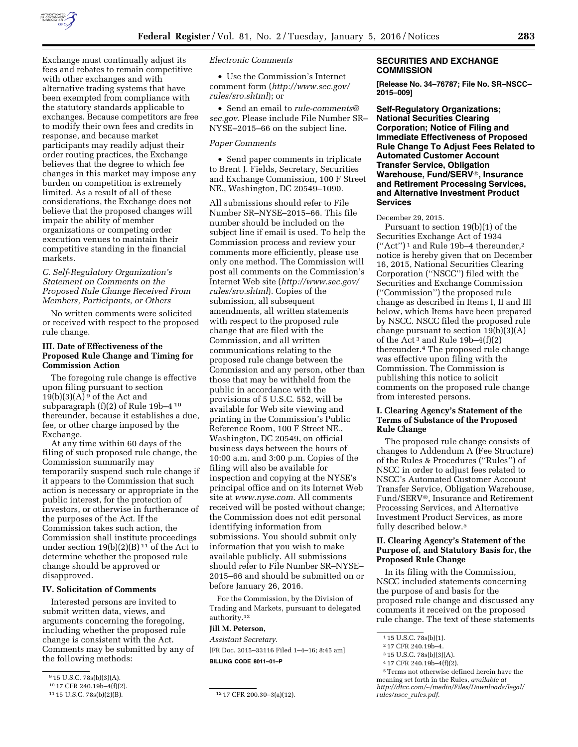

Exchange must continually adjust its fees and rebates to remain competitive with other exchanges and with alternative trading systems that have been exempted from compliance with the statutory standards applicable to exchanges. Because competitors are free to modify their own fees and credits in response, and because market participants may readily adjust their order routing practices, the Exchange believes that the degree to which fee changes in this market may impose any burden on competition is extremely limited. As a result of all of these considerations, the Exchange does not believe that the proposed changes will impair the ability of member organizations or competing order execution venues to maintain their competitive standing in the financial markets.

#### *C. Self-Regulatory Organization's Statement on Comments on the Proposed Rule Change Received From Members, Participants, or Others*

No written comments were solicited or received with respect to the proposed rule change.

#### **III. Date of Effectiveness of the Proposed Rule Change and Timing for Commission Action**

The foregoing rule change is effective upon filing pursuant to section  $19(b)(3)(A)$ <sup>9</sup> of the Act and subparagraph  $(f)(2)$  of Rule 19b-4<sup>10</sup> thereunder, because it establishes a due, fee, or other charge imposed by the Exchange.

At any time within 60 days of the filing of such proposed rule change, the Commission summarily may temporarily suspend such rule change if it appears to the Commission that such action is necessary or appropriate in the public interest, for the protection of investors, or otherwise in furtherance of the purposes of the Act. If the Commission takes such action, the Commission shall institute proceedings under section  $19(b)(2)(B)^{11}$  of the Act to determine whether the proposed rule change should be approved or disapproved.

#### **IV. Solicitation of Comments**

Interested persons are invited to submit written data, views, and arguments concerning the foregoing, including whether the proposed rule change is consistent with the Act. Comments may be submitted by any of the following methods:

#### *Electronic Comments*

• Use the Commission's Internet comment form (*[http://www.sec.gov/](http://www.sec.gov/rules/sro.shtml) [rules/sro.shtml](http://www.sec.gov/rules/sro.shtml)*); or

• Send an email to *[rule-comments@](mailto:rule-comments@sec.gov) [sec.gov.](mailto:rule-comments@sec.gov)* Please include File Number SR– NYSE–2015–66 on the subject line.

#### *Paper Comments*

• Send paper comments in triplicate to Brent J. Fields, Secretary, Securities and Exchange Commission, 100 F Street NE., Washington, DC 20549–1090.

All submissions should refer to File Number SR–NYSE–2015–66. This file number should be included on the subject line if email is used. To help the Commission process and review your comments more efficiently, please use only one method. The Commission will post all comments on the Commission's Internet Web site (*[http://www.sec.gov/](http://www.sec.gov/rules/sro.shtml) [rules/sro.shtml](http://www.sec.gov/rules/sro.shtml)*). Copies of the submission, all subsequent amendments, all written statements with respect to the proposed rule change that are filed with the Commission, and all written communications relating to the proposed rule change between the Commission and any person, other than those that may be withheld from the public in accordance with the provisions of 5 U.S.C. 552, will be available for Web site viewing and printing in the Commission's Public Reference Room, 100 F Street NE., Washington, DC 20549, on official business days between the hours of 10:00 a.m. and 3:00 p.m. Copies of the filing will also be available for inspection and copying at the NYSE's principal office and on its Internet Web site at *[www.nyse.com.](http://www.nyse.com)* All comments received will be posted without change; the Commission does not edit personal identifying information from submissions. You should submit only information that you wish to make available publicly. All submissions should refer to File Number SR–NYSE– 2015–66 and should be submitted on or before January 26, 2016.

For the Commission, by the Division of Trading and Markets, pursuant to delegated authority.12

### **Jill M. Peterson,**

*Assistant Secretary.*  [FR Doc. 2015–33116 Filed 1–4–16; 8:45 am] **BILLING CODE 8011–01–P** 

#### **SECURITIES AND EXCHANGE COMMISSION**

**[Release No. 34–76787; File No. SR–NSCC– 2015–009]** 

**Self-Regulatory Organizations; National Securities Clearing Corporation; Notice of Filing and Immediate Effectiveness of Proposed Rule Change To Adjust Fees Related to Automated Customer Account Transfer Service, Obligation Warehouse, Fund/SERV**®**, Insurance and Retirement Processing Services, and Alternative Investment Product Services** 

December 29, 2015.

Pursuant to section 19(b)(1) of the Securities Exchange Act of 1934 (''Act'') 1 and Rule 19b–4 thereunder,2 notice is hereby given that on December 16, 2015, National Securities Clearing Corporation (''NSCC'') filed with the Securities and Exchange Commission (''Commission'') the proposed rule change as described in Items I, II and III below, which Items have been prepared by NSCC. NSCC filed the proposed rule change pursuant to section 19(b)(3)(A) of the Act<sup>3</sup> and Rule  $19b-4(f)(2)$ thereunder.4 The proposed rule change was effective upon filing with the Commission. The Commission is publishing this notice to solicit comments on the proposed rule change from interested persons.

## **I. Clearing Agency's Statement of the Terms of Substance of the Proposed Rule Change**

The proposed rule change consists of changes to Addendum A (Fee Structure) of the Rules & Procedures (''Rules'') of NSCC in order to adjust fees related to NSCC's Automated Customer Account Transfer Service, Obligation Warehouse, Fund/SERV®, Insurance and Retirement Processing Services, and Alternative Investment Product Services, as more fully described below.5

## **II. Clearing Agency's Statement of the Purpose of, and Statutory Basis for, the Proposed Rule Change**

In its filing with the Commission, NSCC included statements concerning the purpose of and basis for the proposed rule change and discussed any comments it received on the proposed rule change. The text of these statements

<sup>9</sup> 15 U.S.C. 78s(b)(3)(A).

<sup>10 17</sup> CFR 240.19b-4(f)(2).<br>11 15 U.S.C. 78s(b)(2)(B).

<sup>12 17</sup> CFR 200.30-3(a)(12).

<sup>1</sup> 15 U.S.C. 78s(b)(1).

<sup>2</sup> 17 CFR 240.19b–4.

<sup>3</sup> 15 U.S.C. 78s(b)(3)(A).

<sup>4</sup> 17 CFR 240.19b–4(f)(2).

<sup>5</sup>Terms not otherwise defined herein have the meaning set forth in the Rules, *available at http://dtcc.com/*∼*[/media/Files/Downloads/legal/](http://dtcc.com/~/media/Files/Downloads/legal/rules/nscc_rules.pdf) [rules/nscc](http://dtcc.com/~/media/Files/Downloads/legal/rules/nscc_rules.pdf)*\_*rules.pdf.*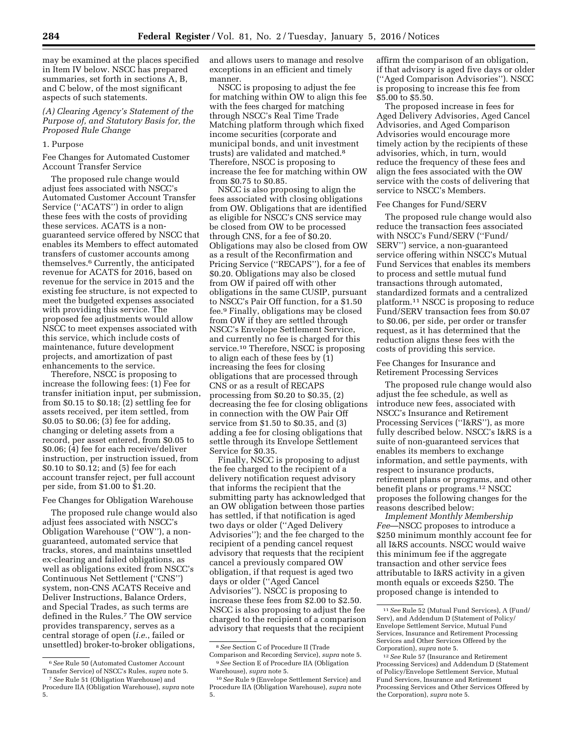may be examined at the places specified in Item IV below. NSCC has prepared summaries, set forth in sections A, B, and C below, of the most significant aspects of such statements.

*(A) Clearing Agency's Statement of the Purpose of, and Statutory Basis for, the Proposed Rule Change* 

#### 1. Purpose

Fee Changes for Automated Customer Account Transfer Service

The proposed rule change would adjust fees associated with NSCC's Automated Customer Account Transfer Service (''ACATS'') in order to align these fees with the costs of providing these services. ACATS is a nonguaranteed service offered by NSCC that enables its Members to effect automated transfers of customer accounts among themselves.6 Currently, the anticipated revenue for ACATS for 2016, based on revenue for the service in 2015 and the existing fee structure, is not expected to meet the budgeted expenses associated with providing this service. The proposed fee adjustments would allow NSCC to meet expenses associated with this service, which include costs of maintenance, future development projects, and amortization of past enhancements to the service.

Therefore, NSCC is proposing to increase the following fees: (1) Fee for transfer initiation input, per submission, from \$0.15 to \$0.18; (2) settling fee for assets received, per item settled, from \$0.05 to \$0.06; (3) fee for adding, changing or deleting assets from a record, per asset entered, from \$0.05 to \$0.06; (4) fee for each receive/deliver instruction, per instruction issued, from \$0.10 to \$0.12; and (5) fee for each account transfer reject, per full account per side, from \$1.00 to \$1.20.

#### Fee Changes for Obligation Warehouse

The proposed rule change would also adjust fees associated with NSCC's Obligation Warehouse (''OW''), a nonguaranteed, automated service that tracks, stores, and maintains unsettled ex-clearing and failed obligations, as well as obligations exited from NSCC's Continuous Net Settlement (''CNS'') system, non-CNS ACATS Receive and Deliver Instructions, Balance Orders, and Special Trades, as such terms are defined in the Rules.7 The OW service provides transparency, serves as a central storage of open (*i.e.*, failed or unsettled) broker-to-broker obligations,

and allows users to manage and resolve exceptions in an efficient and timely manner.

NSCC is proposing to adjust the fee for matching within OW to align this fee with the fees charged for matching through NSCC's Real Time Trade Matching platform through which fixed income securities (corporate and municipal bonds, and unit investment trusts) are validated and matched.8 Therefore, NSCC is proposing to increase the fee for matching within OW from \$0.75 to \$0.85.

NSCC is also proposing to align the fees associated with closing obligations from OW. Obligations that are identified as eligible for NSCC's CNS service may be closed from OW to be processed through CNS, for a fee of \$0.20. Obligations may also be closed from OW as a result of the Reconfirmation and Pricing Service (''RECAPS''), for a fee of \$0.20. Obligations may also be closed from OW if paired off with other obligations in the same CUSIP, pursuant to NSCC's Pair Off function, for a \$1.50 fee.9 Finally, obligations may be closed from OW if they are settled through NSCC's Envelope Settlement Service, and currently no fee is charged for this service.10 Therefore, NSCC is proposing to align each of these fees by (1) increasing the fees for closing obligations that are processed through CNS or as a result of RECAPS processing from \$0.20 to \$0.35, (2) decreasing the fee for closing obligations in connection with the OW Pair Off service from \$1.50 to \$0.35, and (3) adding a fee for closing obligations that settle through its Envelope Settlement Service for \$0.35.

Finally, NSCC is proposing to adjust the fee charged to the recipient of a delivery notification request advisory that informs the recipient that the submitting party has acknowledged that an OW obligation between those parties has settled, if that notification is aged two days or older (''Aged Delivery Advisories''); and the fee charged to the recipient of a pending cancel request advisory that requests that the recipient cancel a previously compared OW obligation, if that request is aged two days or older (''Aged Cancel Advisories''). NSCC is proposing to increase these fees from \$2.00 to \$2.50. NSCC is also proposing to adjust the fee charged to the recipient of a comparison advisory that requests that the recipient

affirm the comparison of an obligation, if that advisory is aged five days or older (''Aged Comparison Advisories''). NSCC is proposing to increase this fee from \$5.00 to \$5.50.

The proposed increase in fees for Aged Delivery Advisories, Aged Cancel Advisories, and Aged Comparison Advisories would encourage more timely action by the recipients of these advisories, which, in turn, would reduce the frequency of these fees and align the fees associated with the OW service with the costs of delivering that service to NSCC's Members.

#### Fee Changes for Fund/SERV

The proposed rule change would also reduce the transaction fees associated with NSCC's Fund/SERV (''Fund/ SERV'') service, a non-guaranteed service offering within NSCC's Mutual Fund Services that enables its members to process and settle mutual fund transactions through automated, standardized formats and a centralized platform.11 NSCC is proposing to reduce Fund/SERV transaction fees from \$0.07 to \$0.06, per side, per order or transfer request, as it has determined that the reduction aligns these fees with the costs of providing this service.

#### Fee Changes for Insurance and Retirement Processing Services

The proposed rule change would also adjust the fee schedule, as well as introduce new fees, associated with NSCC's Insurance and Retirement Processing Services (''I&RS''), as more fully described below. NSCC's I&RS is a suite of non-guaranteed services that enables its members to exchange information, and settle payments, with respect to insurance products, retirement plans or programs, and other benefit plans or programs.12 NSCC proposes the following changes for the reasons described below:

*Implement Monthly Membership Fee*—NSCC proposes to introduce a \$250 minimum monthly account fee for all I&RS accounts. NSCC would waive this minimum fee if the aggregate transaction and other service fees attributable to I&RS activity in a given month equals or exceeds \$250. The proposed change is intended to

<sup>6</sup>*See* Rule 50 (Automated Customer Account Transfer Service) of NSCC's Rules, *supra* note 5.

<sup>7</sup>*See* Rule 51 (Obligation Warehouse) and Procedure IIA (Obligation Warehouse), *supra* note 5.

<sup>8</sup>*See* Section C of Procedure II (Trade

Comparison and Recording Service), *supra* note 5. 9*See* Section E of Procedure IIA (Obligation Warehouse), *supra* note 5.

<sup>10</sup>*See* Rule 9 (Envelope Settlement Service) and Procedure IIA (Obligation Warehouse), *supra* note 5.

<sup>11</sup>*See* Rule 52 (Mutual Fund Services), A (Fund/ Serv), and Addendum D (Statement of Policy/ Envelope Settlement Service, Mutual Fund Services, Insurance and Retirement Processing Services and Other Services Offered by the Corporation), *supra* note 5.

<sup>12</sup>*See* Rule 57 (Insurance and Retirement Processing Services) and Addendum D (Statement of Policy/Envelope Settlement Service, Mutual Fund Services, Insurance and Retirement Processing Services and Other Services Offered by the Corporation), *supra* note 5.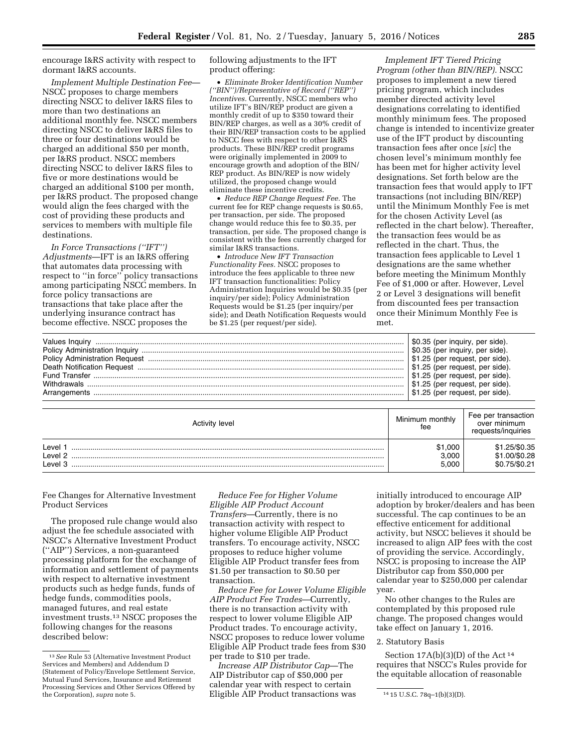encourage I&RS activity with respect to dormant I&RS accounts.

*Implement Multiple Destination Fee*— NSCC proposes to charge members directing NSCC to deliver I&RS files to more than two destinations an additional monthly fee. NSCC members directing NSCC to deliver I&RS files to three or four destinations would be charged an additional \$50 per month, per I&RS product. NSCC members directing NSCC to deliver I&RS files to five or more destinations would be charged an additional \$100 per month, per I&RS product. The proposed change would align the fees charged with the cost of providing these products and services to members with multiple file destinations.

*In Force Transactions (''IFT'') Adjustments*—IFT is an I&RS offering that automates data processing with respect to ''in force'' policy transactions among participating NSCC members. In force policy transactions are transactions that take place after the underlying insurance contract has become effective. NSCC proposes the

following adjustments to the IFT product offering:

• *Eliminate Broker Identification Number (''BIN'')/Representative of Record (''REP'') Incentives.* Currently, NSCC members who utilize IFT's BIN/REP product are given a monthly credit of up to \$350 toward their BIN/REP charges, as well as a 30% credit of their BIN/REP transaction costs to be applied to NSCC fees with respect to other I&RS products. These BIN/REP credit programs were originally implemented in 2009 to encourage growth and adoption of the BIN/ REP product. As BIN/REP is now widely utilized, the proposed change would eliminate these incentive credits.

• *Reduce REP Change Request Fee.* The current fee for REP change requests is \$0.65, per transaction, per side. The proposed change would reduce this fee to \$0.35, per transaction, per side. The proposed change is consistent with the fees currently charged for similar I&RS transactions.

• *Introduce New IFT Transaction Functionality Fees.* NSCC proposes to introduce the fees applicable to three new IFT transaction functionalities: Policy Administration Inquiries would be \$0.35 (per inquiry/per side); Policy Administration Requests would be \$1.25 (per inquiry/per side); and Death Notification Requests would be \$1.25 (per request/per side).

*Implement IFT Tiered Pricing Program (other than BIN/REP).* NSCC proposes to implement a new tiered pricing program, which includes member directed activity level designations correlating to identified monthly minimum fees. The proposed change is intended to incentivize greater use of the IFT product by discounting transaction fees after once [*sic*] the chosen level's minimum monthly fee has been met for higher activity level designations. Set forth below are the transaction fees that would apply to IFT transactions (not including BIN/REP) until the Minimum Monthly Fee is met for the chosen Activity Level (as reflected in the chart below). Thereafter, the transaction fees would be as reflected in the chart. Thus, the transaction fees applicable to Level 1 designations are the same whether before meeting the Minimum Monthly Fee of \$1,000 or after. However, Level 2 or Level 3 designations will benefit from discounted fees per transaction once their Minimum Monthly Fee is met.

| $\frac{1}{2}$ \$1.25 (per request, per side).<br>$\frac{1}{2}$ \$1.25 (per request, per side).<br>\$1.25 (per request, per side). | \$1.25 (per request, per side).     |
|-----------------------------------------------------------------------------------------------------------------------------------|-------------------------------------|
| Minimum monthly                                                                                                                   | Fee per transaction<br>over minimum |

| <b>Activity level</b>                  | Minimum monthly<br>fee    | Fee bel transaction<br>over minimum<br>requests/inquiries |
|----------------------------------------|---------------------------|-----------------------------------------------------------|
| Level<br>Level <sub>2</sub><br>∟evel 3 | \$1,000<br>3,000<br>5,000 | \$1.25/\$0.35<br>\$1.00/\$0.28<br>\$0.75/\$0.21           |

Fee Changes for Alternative Investment Product Services

The proposed rule change would also adjust the fee schedule associated with NSCC's Alternative Investment Product (''AIP'') Services, a non-guaranteed processing platform for the exchange of information and settlement of payments with respect to alternative investment products such as hedge funds, funds of hedge funds, commodities pools, managed futures, and real estate investment trusts.13 NSCC proposes the following changes for the reasons described below:

*Reduce Fee for Higher Volume Eligible AIP Product Account Transfers*—Currently, there is no transaction activity with respect to higher volume Eligible AIP Product transfers. To encourage activity, NSCC proposes to reduce higher volume Eligible AIP Product transfer fees from \$1.50 per transaction to \$0.50 per transaction.

*Reduce Fee for Lower Volume Eligible AIP Product Fee Trades*—Currently, there is no transaction activity with respect to lower volume Eligible AIP Product trades. To encourage activity, NSCC proposes to reduce lower volume Eligible AIP Product trade fees from \$30 per trade to \$10 per trade.

the Corporation), *supra* note 5. 14 15 U.S.C. 78q–1(b)(3)(D). <sup>14</sup> 15 U.S.C. 78q–1(b)(3)(D). *Increase AIP Distributor Cap*—The AIP Distributor cap of \$50,000 per calendar year with respect to certain

initially introduced to encourage AIP adoption by broker/dealers and has been successful. The cap continues to be an effective enticement for additional activity, but NSCC believes it should be increased to align AIP fees with the cost of providing the service. Accordingly, NSCC is proposing to increase the AIP Distributor cap from \$50,000 per calendar year to \$250,000 per calendar year.

No other changes to the Rules are contemplated by this proposed rule change. The proposed changes would take effect on January 1, 2016.

## 2. Statutory Basis

Section  $17A(b)(3)(D)$  of the Act<sup>14</sup> requires that NSCC's Rules provide for the equitable allocation of reasonable

<sup>13</sup>*See* Rule 53 (Alternative Investment Product Services and Members) and Addendum D (Statement of Policy/Envelope Settlement Service, Mutual Fund Services, Insurance and Retirement Processing Services and Other Services Offered by the Corporation), supra note 5.